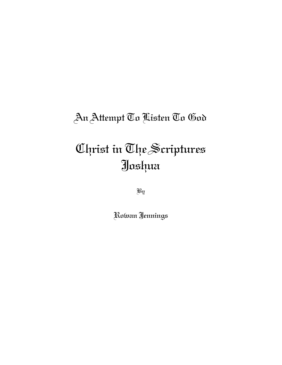## An Attempt To Listen To God

# Christ in The Scriptures Joshua

By

Rowan Jennings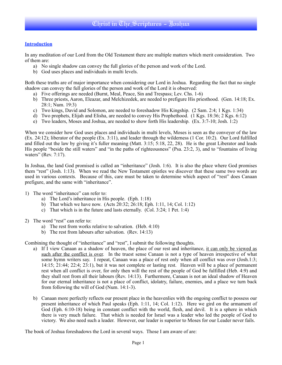#### **Introduction**

In any meditation of our Lord from the Old Testament there are multiple matters which merit consideration. Two of them are:

- a) No single shadow can convey the full glories of the person and work of the Lord.
- b) God uses places and individuals in multi levels.

Both these truths are of major importance when considering our Lord in Joshua. Regarding the fact that no single shadow can convey the full glories of the person and work of the Lord it is observed:

- a) Five offerings are needed (Burnt, Meal, Peace, Sin and Trespass; Lev. Chs. 1-6)
- b) Three priests, Aaron, Eleazar, and Melchizedek, are needed to prefigure His priesthood. (Gen. 14:18; Ex. 28:1; Num. 19:3)
- c) Two kings, David and Solomon, are needed to foreshadow His Kingship. (2 Sam. 2:4; 1 Kgs. 1:34)
- d) Two prophets, Elijah and Elisha, are needed to convey His Prophethood. (1 Kgs. 18:36; 2 Kgs. 6:12)
- e) Two leaders, Moses and Joshua, are needed to show forth His leadership. (Ex. 3:7-10; Josh. 1:2)

When we consider how God uses places and individuals in multi levels, Moses is seen as the conveyer of the law (Ex. 24:12); liberator of the people (Ex. 3:11), and leader through the wilderness (1 Cor. 10:2). Our Lord fulfilled and filled out the law by giving it's fuller meaning (Matt. 3:15; 5:18, 22, 28). He is the great Liberator and leads His people "beside the still waters" and "in the paths of righteousness" (Psa. 23:2, 3), and to "fountains of living waters" (Rev. 7:17).

In Joshua, the land God promised is called an "inheritance" (Josh. 1:6). It is also the place where God promises them "rest" (Josh. 1:13). When we read the New Testament epistles we discover that these same two words are used in various contexts. Because of this, care must be taken to determine which aspect of "rest" does Canaan prefigure, and the same with "inheritance".

- 1) The word "inheritance" can refer to:
	- a) The Lord's inheritance in His people. (Eph. 1:18)
	- b) That which we have now.  $(A \text{cts } 20:32; 26:18; Eph. 1:11, 14; Col. 1:12)$
	- c) That which is in the future and lasts eternally. (Col. 3:24; 1 Pet. 1:4)
- 2) The word "rest" can refer to:
	- a) The rest from works relative to salvation. (Heb. 4:10)
	- b) The rest from labours after salvation. (Rev. 14:13)

Combining the thought of "inheritance" and "rest", I submit the following thoughts.

- a) If I view Canaan as a shadow of heaven, the place of our rest and inheritance, it can only be viewed as such after the conflict is over. In the truest sense Canaan is not a type of heaven irrespective of what some hymn writers say. I repeat, Canaan was a place of rest only when all conflict was over (Josh.1:3; 14:15; 21:44; 22:4; 23:1), but it was not complete or lasting rest. Heaven will be a place of permanent rest when all conflict is over, for only then will the rest of the people of God be fulfilled (Heb. 4:9) and they shall rest from all their labours (Rev. 14:13). Furthermore, Canaan is not an ideal shadow of Heaven for our eternal inheritance is not a place of conflict, idolatry, failure, enemies, and a place we turn back from following the will of God (Num. 14:1-3).
- b) Canaan more perfectly reflects our present place in the heavenlies with the ongoing conflict to possess our present inheritance of which Paul speaks (Eph. 1:11, 14; Col. 1:12). Here we gird on the armament of God (Eph. 6:10-18) being in constant conflict with the world, flesh, and devil. It is a sphere in which there is very much failure. That which is needed for Israel was a leader who led the people of God to victory. We also need such a leader. However, our leader is superior to Moses for our Leader never fails.

The book of Joshua foreshadows the Lord in several ways. Those I am aware of are: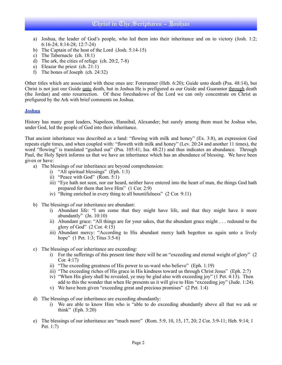- a) Joshua, the leader of God's people, who led them into their inheritance and on to victory (Josh. 1:2; 6:16-24; 8:14-28; 12:7-24)
- b) The Captain of the host of the Lord (Josh. 5:14-15)
- c) The Tabernacle (ch. 18:1)
- d) The ark, the cities of refuge (ch. 20:2, 7-8)
- e) Eleazar the priest (ch. 21:1)
- f) The bones of Joseph (ch. 24:32)

Other titles which are associated with these ones are: Forerunner (Heb. 6:20); Guide unto death (Psa. 48:14), but Christ is not just our Guide unto death, but in Joshua He is prefigured as our Guide and Guarantor through death (the Jordan) and onto resurrection. Of these foreshadows of the Lord we can only concentrate on Christ as prefigured by the Ark with brief comments on Joshua.

#### **Joshua**

History has many great leaders, Napoleon, Hannibal, Alexander; but surely among them must be Joshua who, under God, led the people of God into their inheritance.

That ancient inheritance was described as a land: "flowing with milk and honey" (Ex. 3:8), an expression God repeats eight times, and when coupled with: "floweth with milk and honey" (Lev. 20:24 and another 11 times), the word "flowing" is translated "gushed out" (Psa. 105:41; Isa. 48:21) and thus indicates an abundance. Through Paul, the Holy Spirit informs us that we have an inheritance which has an abundance of blessing. We have been given or have:

- a) The blessings of our inheritance are beyond comprehension:
	- i) "All spiritual blessings" (Eph. 1:3)
	- ii) "Peace with God" (Rom. 5:1)
	- iii) "Eye hath not seen, nor ear heard, neither have entered into the heart of man, the things God hath prepared for them that love Him" (1 Cor. 2:9)
	- iv) "Being enriched in every thing to all bountifulness" (2 Cor. 9:11)
- b) The blessings of our inheritance are abundant:
	- i) Abundant life: "I am come that they might have life, and that they might have it more abundantly" (Jn. 10:10)
	- ii) Abundant grace: "All things are for your sakes, that the abundant grace might . . . redound to the glory of God"  $(2$  Cor. 4:15)
	- iii) Abundant mercy: "According to His abundant mercy hath begotten us again unto a lively hope" (1 Pet. 1:3; Titus 3:5-6)
- c) The blessings of our inheritance are exceeding:
	- i) For the sufferings of this present time there will be an "exceeding and eternal weight of glory" (2 Cor. 4:17)
	- ii) "The exceeding greatness of His power to us-ward who believe" (Eph. 1:19)
	- iii) "The exceeding riches of His grace in His kindness toward us through Christ Jesus" (Eph. 2:7)
	- iv) "When His glory shall be revealed, ye may be glad also with exceeding joy" (1 Pet. 4:13). Then add to this the wonder that when He presents us it will give to Him "exceeding joy" (Jude. 1:24).
	- v) We have been given "exceeding great and precious promises" (2 Pet. 1:4)
- d) The blessings of our inheritance are exceeding abundantly:
	- i) We are able to know Him who is "able to do exceeding abundantly above all that we ask or think" (Eph. 3:20)
- e) The blessings of our inheritance are "much more" (Rom. 5:9, 10, 15, 17, 20; 2 Cor. 3:9-11; Heb. 9:14; 1 Pet. 1:7)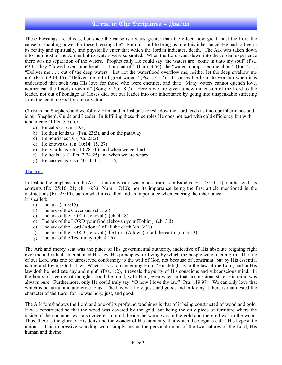These blessings are effects, but since the cause is always greater than the effect, how great must the Lord the cause or enabling power for these blessings be? For our Lord to bring us into this inheritance, He had to live in its reality and spiritually, and physically enter that which the Jordan indicates, death. The Ark was taken down into the midst of the Jordan but its waters were separated. When the Lord want down into the Jordan experience there was no separation of the waters. Prophetically He could say: the waters are "come in unto my soul" (Psa. 69:1), they "flowed over mine head . . . I am cut off" (Lam. 3:54); the "waters compassed me about" (Jon. 2:5); "Deliver me . . . out of the deep waters. Let not the waterflood overflow me, neither let the deep swallow me up" (Psa. 69:14-15); "Deliver me out of great waters" (Psa. 144:7). It causes the heart to worship when it is understood that such was His love for those who were enemies, and that: "Many waters cannot quench love, neither can the floods drown it" (Song of Sol. 8:7). Herein we are given a new dimension of the Lord as the leader, not out of bondage as Moses did, but our leader into our inheritance by going into unspeakable suffering from the hand of God for our salvation.

Christ is the Shepherd and we follow Him, and in Joshua's foreshadow the Lord leads us into our inheritance and is our Shepherd, Guide and Leader. In fulfilling these three roles He does not lead with cold efficiency but with tender care (1 Pet. 5:7) for:

- a) He calls us (Jn. 10:3)
- b) He then leads us (Psa. 23:3), and on the pathway
- c) He nourishes us (Psa. 23:2)
- d) He knows us (Jn. 10:14, 15, 27)
- e) He guards us (Jn. 10:28-30), and when we get hurt
- f) He heals us (1 Pet. 2:24-25) and when we are weary
- g) He carries us (Isa. 40:11; Lk. 15:5-6)

#### **The Ark**

In Joshua the emphasis on the Ark is not on what it was made from as in Exodus (Ex. 25:10-11), neither with its contents (Ex. 25:16, 21; ch. 16:33; Num. 17:10); nor its importance being the first article mentioned in the instructions (Ex. 25:10), but on what it is called and its importance when entering the inheritance. It is called:

- a) The ark (ch 3:15)
- b) The ark of the Covenant (ch. 3:6)
- c) The ark of the LORD (Jehovah) (ch. 4:18)
- d) The ark of the LORD your God (Jehovah your Elohim) (ch. 3:3)
- e) The ark of the Lord (Adonai) of all the earth (ch. 3:11)
- f) The ark of the LORD (Jehovah) the Lord (Adown) of all the earth (ch. 3:13)
- g) The ark of the Testimony (ch. 4:16)

The Ark and mercy seat was the place of His governmental authority, indicative of His absolute reigning right over the individual. It contained His law, His principles for living by which the people were to conform. The life of our Lord was one of unreserved conformity to the will of God, not because of constraint, but by His essential nature and loving God's law. When it is said concerning Him: "His delight is in the law of the Lord; and in His law doth he meditate day and night" (Psa. 1:2), it reveals the purity of His conscious and subconscious mind. In the hours of sleep what thoughts flood the mind, with Him, even when in that unconscious state, His mind was always pure. Furthermore, only He could truly say: "O how I love thy law" (Psa. 119:97). We can only love that which is beautiful and attractive to us. The law was holy, just, and good, and in loving it there is manifested the character of the Lord, for He was holy, just, and good.

The Ark foreshadows the Lord and one of its profound teachings is that of it being constructed of wood and gold. It was constructed so that the wood was covered by the gold, but being the only piece of furniture where the inside of the container was also covered in gold, hence the wood was in the gold and the gold was in the wood. Thus, there is the glory of His deity and the wonder of His humanity, that which theologians call: "His hypostatic union". This impressive sounding word simply means the personal union of the two natures of the Lord, His human and divine.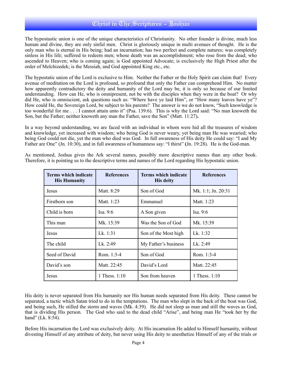The hypostastic union is one of the unique characteristics of Christianity. No other founder is divine, much less human and divine, they are only sinful men. Christ is gloriously unique in multi avenues of thought. He is the only man who is eternal in His being; had an incarnation; has two perfect and complete natures; was completely sinless in His life; suffered to redeem men; whose death was an accomplishment; who rose from the dead; who ascended to Heaven; who is coming again; is God appointed Advocate; is exclusively the High Priest after the order of Melchizedek; is the Messiah, and God appointed King etc., etc.

The hypostatic union of the Lord is exclusive to Him. Neither the Father or the Holy Spirit can claim that! Every avenue of meditation on the Lord is profound, so profound that only the Father can comprehend Him. No matter how apparently contradictory the deity and humanity of the Lord may be, it is only so because of our limited understanding. How can He, who is omnipresent, not be with the disciples when they were in the boat? Or why did He, who is omniscient, ask questions such as: "Where have ye laid Him", or "How many loaves have ye"? How could He, the Sovereign Lord, be subject to his parents? The answer is we do not know, "Such knowledge is too wonderful for me . . . I cannot attain unto it" (Psa. 139:6). This is why the Lord said: "No man knoweth the Son, but the Father; neither knoweth any man the Father, save the Son" (Matt. 11:27)**.** 

In a way beyond understanding, we are faced with an individual in whom were hid all the treasures of wisdom and knowledge, yet increased with wisdom; who being God is never weary, yet being man He was wearied; who being God could not die, yet the man who died was God. In full awareness of His deity He could say: "I and My Father are One" (Jn. 10:30), and in full awareness of humanness say: "I thirst" **(**Jn. 19:28). He is the God-man.

| Terms which indicate<br><b>His Humanity</b> | <b>References</b> | Terms which indicate<br><b>His deity</b> | <b>References</b>    |
|---------------------------------------------|-------------------|------------------------------------------|----------------------|
| Jesus                                       | Matt. 8:29        | Son of God                               | Mk. 1:1; Jn. $20:31$ |
| Firstborn son                               | Matt. 1:23        | Emmanuel                                 | Matt. 1:23           |
| Child is born                               | Isa. $9:6$        | A Son given                              | Isa. $9:6$           |
| This man                                    | Mk. 15:39         | Was the Son of God                       | Mk. 15:39            |
| Jesus                                       | Lk. $1:31$        | Son of the Most high                     | Lk. $1:32$           |
| The child                                   | Lk. 2:49          | My Father's business                     | Lk. 2:49             |
| Seed of David                               | Rom. $1:3-4$      | Son of God                               | Rom. 1:3-4           |
| David's son                                 | Matt. 22:45       | David's Lord                             | Matt. 22:45          |
| Jesus                                       | 1 Thess. 1:10     | Son from heaven                          | 1 Thess. $1:10$      |

As mentioned, Joshua gives the Ark several names, possibly more descriptive names than any other book. Therefore, it is pointing us to the descriptive terms and names of the Lord regarding His hypostatic union.

His deity is never separated from His humanity nor His human needs separated from His deity. These cannot be separated, a tactic which Satan tried to do in the temptations. The man who slept in the back of the boat was God, and being such, He stilled the storm and waves (Mk. 4:39). He did not sleep as man and still the waves as God, that is dividing His person. The God who said to the dead child "Arise", and being man He "took her by the hand" (Lk. 8:54).

Before His incarnation the Lord was exclusively deity. At His incarnation He added to Himself humanity, without divesting Himself of any attribute of deity, but never using His deity to anesthetize Himself of any of the trials or